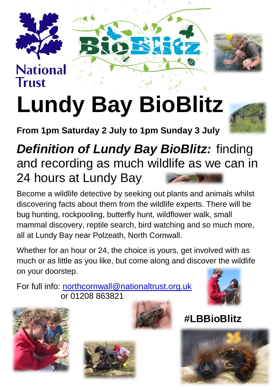

## **National Trust**





## **Lundy Bay BioBlitz**

**From 1pm Saturday 2 July to 1pm Sunday 3 July**



## *Definition of Lundy Bay BioBlitz:* finding and recording as much wildlife as we can in 24 hours at Lundy Bay.

Become a wildlife detective by seeking out plants and animals whilst discovering facts about them from the wildlife experts. There will be bug hunting, rockpooling, butterfly hunt, wildflower walk, small mammal discovery, reptile search, bird watching and so much more, all at Lundy Bay near Polzeath, North Cornwall.

Whether for an hour or 24, the choice is yours, get involved with as much or as little as you like, but come along and discover the wildlife on your doorstep.

For full info: [northcornwall@nationaltrust.org.uk](mailto:northcornwall@nationaltrust.org.uk) or 01208 863821